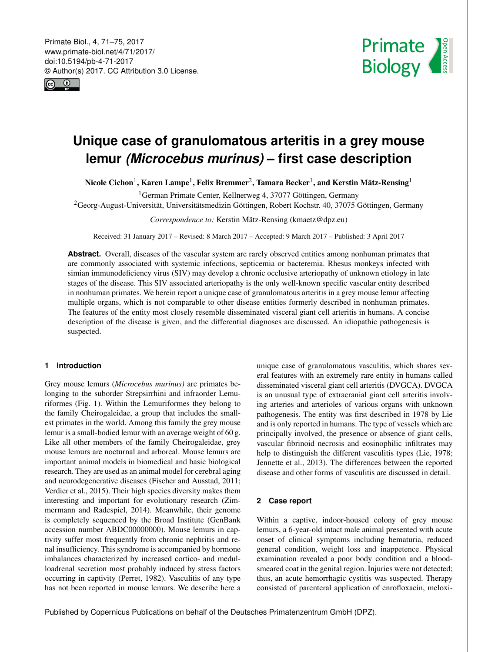<span id="page-0-1"></span>Primate Biol., 4, 71–75, 2017 www.primate-biol.net/4/71/2017/ doi:10.5194/pb-4-71-2017 © Author(s) 2017. CC Attribution 3.0 License.





# **Unique case of granulomatous arteritis in a grey mouse lemur** *(Microcebus murinus)* **– first case description**

Nicole Cichon $^1$  $^1$ , Karen Lampe $^1$ , Felix Bremmer $^2$  $^2$ , Tamara Becker $^1$ , and Kerstin Mätz-Rensing $^1$ 

<sup>1</sup>German Primate Center, Kellnerweg 4, 37077 Göttingen, Germany

<sup>2</sup>Georg-August-Universität, Universitätsmedizin Göttingen, Robert Kochstr. 40, 37075 Göttingen, Germany

*Correspondence to:* Kerstin Mätz-Rensing (kmaetz@dpz.eu)

Received: 31 January 2017 – Revised: 8 March 2017 – Accepted: 9 March 2017 – Published: 3 April 2017

**Abstract.** Overall, diseases of the vascular system are rarely observed entities among nonhuman primates that are commonly associated with systemic infections, septicemia or bacteremia. Rhesus monkeys infected with simian immunodeficiency virus (SIV) may develop a chronic occlusive arteriopathy of unknown etiology in late stages of the disease. This SIV associated arteriopathy is the only well-known specific vascular entity described in nonhuman primates. We herein report a unique case of granulomatous arteritis in a grey mouse lemur affecting multiple organs, which is not comparable to other disease entities formerly described in nonhuman primates. The features of the entity most closely resemble disseminated visceral giant cell arteritis in humans. A concise description of the disease is given, and the differential diagnoses are discussed. An idiopathic pathogenesis is suspected.

#### <span id="page-0-0"></span>**1 Introduction**

Grey mouse lemurs (*Microcebus murinus)* are primates belonging to the suborder Strepsirrhini and infraorder Lemuriformes (Fig. 1). Within the Lemuriformes they belong to the family Cheirogaleidae, a group that includes the smallest primates in the world. Among this family the grey mouse lemur is a small-bodied lemur with an average weight of 60 g. Like all other members of the family Cheirogaleidae, grey mouse lemurs are nocturnal and arboreal. Mouse lemurs are important animal models in biomedical and basic biological research. They are used as an animal model for cerebral aging and neurodegenerative diseases (Fischer and Ausstad, 2011; Verdier et al., 2015). Their high species diversity makes them interesting and important for evolutionary research (Zimmermann and Radespiel, 2014). Meanwhile, their genome is completely sequenced by the Broad Institute (GenBank accession number ABDC00000000). Mouse lemurs in captivity suffer most frequently from chronic nephritis and renal insufficiency. This syndrome is accompanied by hormone imbalances characterized by increased cortico- and medulloadrenal secretion most probably induced by stress factors occurring in captivity (Perret, 1982). Vasculitis of any type has not been reported in mouse lemurs. We describe here a unique case of granulomatous vasculitis, which shares several features with an extremely rare entity in humans called disseminated visceral giant cell arteritis (DVGCA). DVGCA is an unusual type of extracranial giant cell arteritis involving arteries and arterioles of various organs with unknown pathogenesis. The entity was first described in 1978 by Lie and is only reported in humans. The type of vessels which are principally involved, the presence or absence of giant cells, vascular fibrinoid necrosis and eosinophilic infiltrates may help to distinguish the different vasculitis types (Lie, 1978; Jennette et al., 2013). The differences between the reported disease and other forms of vasculitis are discussed in detail.

### **2 Case report**

Within a captive, indoor-housed colony of grey mouse lemurs, a 6-year-old intact male animal presented with acute onset of clinical symptoms including hematuria, reduced general condition, weight loss and inappetence. Physical examination revealed a poor body condition and a bloodsmeared coat in the genital region. Injuries were not detected; thus, an acute hemorrhagic cystitis was suspected. Therapy consisted of parenteral application of enrofloxacin, meloxi-

Published by Copernicus Publications on behalf of the Deutsches Primatenzentrum GmbH (DPZ).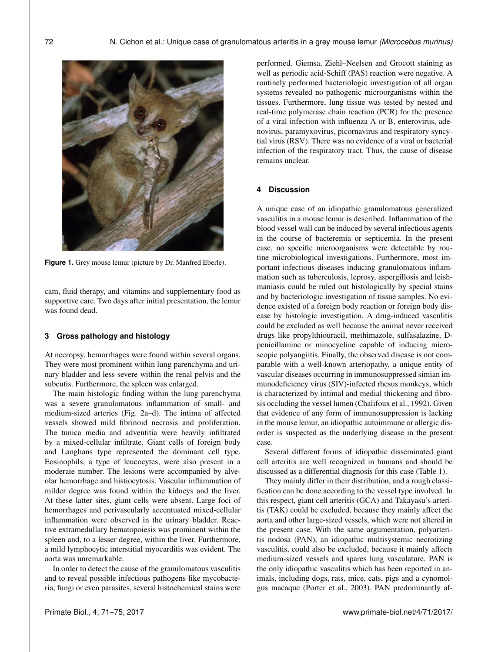

**Figure 1.** Grey mouse lemur (picture by Dr. Manfred Eberle).

cam, fluid therapy, and vitamins and supplementary food as supportive care. Two days after initial presentation, the lemur was found dead.

# **3 Gross pathology and histology**

At necropsy, hemorrhages were found within several organs. They were most prominent within lung parenchyma and urinary bladder and less severe within the renal pelvis and the subcutis. Furthermore, the spleen was enlarged.

The main histologic finding within the lung parenchyma was a severe granulomatous inflammation of small- and medium-sized arteries (Fig. 2a–d). The intima of affected vessels showed mild fibrinoid necrosis and proliferation. The tunica media and adventitia were heavily infiltrated by a mixed-cellular infiltrate. Giant cells of foreign body and Langhans type represented the dominant cell type. Eosinophils, a type of leucocytes, were also present in a moderate number. The lesions were accompanied by alveolar hemorrhage and histiocytosis. Vascular inflammation of milder degree was found within the kidneys and the liver. At these latter sites, giant cells were absent. Large foci of hemorrhages and perivascularly accentuated mixed-cellular inflammation were observed in the urinary bladder. Reactive extramedullary hematopoiesis was prominent within the spleen and, to a lesser degree, within the liver. Furthermore, a mild lymphocytic interstitial myocarditis was evident. The aorta was unremarkable.

In order to detect the cause of the granulomatous vasculitis and to reveal possible infectious pathogens like mycobacteria, fungi or even parasites, several histochemical stains were

performed. Giemsa, Ziehl–Neelsen and Grocott staining as well as periodic acid-Schiff (PAS) reaction were negative. A routinely performed bacteriologic investigation of all organ systems revealed no pathogenic microorganisms within the tissues. Furthermore, lung tissue was tested by nested and real-time polymerase chain reaction (PCR) for the presence of a viral infection with influenza A or B, enterovirus, adenovirus, paramyxovirus, picornavirus and respiratory syncytial virus (RSV). There was no evidence of a viral or bacterial infection of the respiratory tract. Thus, the cause of disease remains unclear.

# **4 Discussion**

A unique case of an idiopathic granulomatous generalized vasculitis in a mouse lemur is described. Inflammation of the blood vessel wall can be induced by several infectious agents in the course of bacteremia or septicemia. In the present case, no specific microorganisms were detectable by routine microbiological investigations. Furthermore, most important infectious diseases inducing granulomatous inflammation such as tuberculosis, leprosy, aspergillosis and leishmaniasis could be ruled out histologically by special stains and by bacteriologic investigation of tissue samples. No evidence existed of a foreign body reaction or foreign body disease by histologic investigation. A drug-induced vasculitis could be excluded as well because the animal never received drugs like propylthiouracil, methimazole, sulfasalazine, Dpenicillamine or minocycline capable of inducing microscopic polyangiitis. Finally, the observed disease is not comparable with a well-known arteriopathy, a unique entity of vascular diseases occurring in immunosuppressed simian immunodeficiency virus (SIV)-infected rhesus monkeys, which is characterized by intimal and medial thickening and fibrosis occluding the vessel lumen (Chalifoux et al., 1992). Given that evidence of any form of immunosuppression is lacking in the mouse lemur, an idiopathic autoimmune or allergic disorder is suspected as the underlying disease in the present case.

Several different forms of idiopathic disseminated giant cell arteritis are well recognized in humans and should be discussed as a differential diagnosis for this case (Table 1).

They mainly differ in their distribution, and a rough classification can be done according to the vessel type involved. In this respect, giant cell arteritis (GCA) and Takayasu's arteritis (TAK) could be excluded, because they mainly affect the aorta and other large-sized vessels, which were not altered in the present case. With the same argumentation, polyarteritis nodosa (PAN), an idiopathic multisystemic necrotizing vasculitis, could also be excluded, because it mainly affects medium-sized vessels and spares lung vasculature. PAN is the only idiopathic vasculitis which has been reported in animals, including dogs, rats, mice, cats, pigs and a cynomolgus macaque (Porter et al., 2003). PAN predominantly af-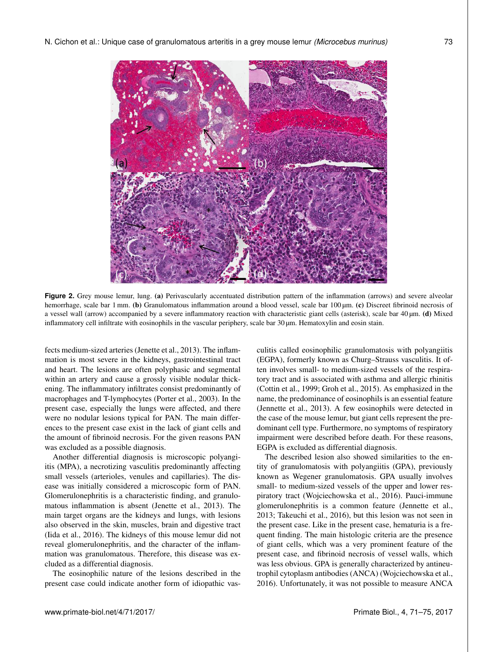

**Figure 2.** Grey mouse lemur, lung. (a) Perivascularly accentuated distribution pattern of the inflammation (arrows) and severe alveolar hemorrhage, scale bar 1 mm. (b) Granulomatous inflammation around a blood vessel, scale bar 100 µm. (c) Discreet fibrinoid necrosis of a vessel wall (arrow) accompanied by a severe inflammatory reaction with characteristic giant cells (asterisk), scale bar 40 µm. (d) Mixed inflammatory cell infiltrate with eosinophils in the vascular periphery, scale bar 30  $\mu$ m. Hematoxylin and eosin stain.

fects medium-sized arteries (Jenette et al., 2013). The inflammation is most severe in the kidneys, gastrointestinal tract and heart. The lesions are often polyphasic and segmental within an artery and cause a grossly visible nodular thickening. The inflammatory infiltrates consist predominantly of macrophages and T-lymphocytes (Porter et al., 2003). In the present case, especially the lungs were affected, and there were no nodular lesions typical for PAN. The main differences to the present case exist in the lack of giant cells and the amount of fibrinoid necrosis. For the given reasons PAN was excluded as a possible diagnosis.

Another differential diagnosis is microscopic polyangiitis (MPA), a necrotizing vasculitis predominantly affecting small vessels (arterioles, venules and capillaries). The disease was initially considered a microscopic form of PAN. Glomerulonephritis is a characteristic finding, and granulomatous inflammation is absent (Jenette et al., 2013). The main target organs are the kidneys and lungs, with lesions also observed in the skin, muscles, brain and digestive tract (Iida et al., 2016). The kidneys of this mouse lemur did not reveal glomerulonephritis, and the character of the inflammation was granulomatous. Therefore, this disease was excluded as a differential diagnosis.

The eosinophilic nature of the lesions described in the present case could indicate another form of idiopathic vasculitis called eosinophilic granulomatosis with polyangiitis (EGPA), formerly known as Churg–Strauss vasculitis. It often involves small- to medium-sized vessels of the respiratory tract and is associated with asthma and allergic rhinitis (Cottin et al., 1999; Groh et al., 2015). As emphasized in the name, the predominance of eosinophils is an essential feature (Jennette et al., 2013). A few eosinophils were detected in the case of the mouse lemur, but giant cells represent the predominant cell type. Furthermore, no symptoms of respiratory impairment were described before death. For these reasons, EGPA is excluded as differential diagnosis.

The described lesion also showed similarities to the entity of granulomatosis with polyangiitis (GPA), previously known as Wegener granulomatosis. GPA usually involves small- to medium-sized vessels of the upper and lower respiratory tract (Wojciechowska et al., 2016). Pauci-immune glomerulonephritis is a common feature (Jennette et al., 2013; Takeuchi et al., 2016), but this lesion was not seen in the present case. Like in the present case, hematuria is a frequent finding. The main histologic criteria are the presence of giant cells, which was a very prominent feature of the present case, and fibrinoid necrosis of vessel walls, which was less obvious. GPA is generally characterized by antineutrophil cytoplasm antibodies (ANCA) (Wojciechowska et al., 2016). Unfortunately, it was not possible to measure ANCA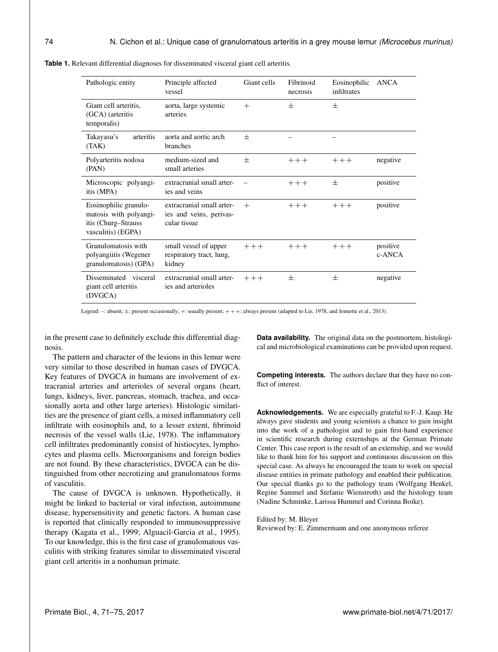| Pathologic entity                                                                            | Principle affected<br>vessel                                         | Giant cells | Fibrinoid<br>necrosis | Eosinophilic<br>infiltrates | <b>ANCA</b>        |
|----------------------------------------------------------------------------------------------|----------------------------------------------------------------------|-------------|-----------------------|-----------------------------|--------------------|
| Giant cell arteritis,<br>(GCA) (arteritis<br>temporalis)                                     | aorta, large systemic<br>arteries                                    | $^{+}$      | 士                     | 士                           |                    |
| Takayasu's<br>arteritis<br>(TAK)                                                             | aorta and aortic arch<br>branches                                    | $^{+}$      |                       |                             |                    |
| Polyarteritis nodosa<br>(PAN)                                                                | medium-sized and<br>small arteries                                   | 士           | $+++$                 | $+ + +$                     | negative           |
| Microscopic polyangi-<br>itis (MPA)                                                          | extracranial small arter-<br>ies and veins                           |             | $+++$                 | 士                           | positive           |
| Eosinophilic granulo-<br>matosis with polyangi-<br>itis (Churg–Strauss<br>vasculitis) (EGPA) | extracranial small arter-<br>ies and veins, perivas-<br>cular tissue | $^{+}$      | $+++$                 | $+ + +$                     | positive           |
| Granulomatosis with<br>polyangiitis (Wegener<br>granulomatosis) (GPA)                        | small vessel of upper<br>respiratory tract, lung,<br>kidney          | $+ + +$     | $+++$                 | $++ +$                      | positive<br>c-ANCA |
| Disseminated visceral<br>giant cell arteritis<br>(DVGCA)                                     | extracranial small arter-<br>ies and arterioles                      | $++ +$      | $^{+}$                | 士                           | negative           |

**Table 1.** Relevant differential diagnoses for disseminated visceral giant cell arteritis.

Legend: -: absent;  $\pm$ : present occasionally; +: usually present; + + +: always present (adapted to Lie, 1978, and Jennette et al., 2013).

in the present case to definitely exclude this differential diagnosis.

The pattern and character of the lesions in this lemur were very similar to those described in human cases of DVGCA. Key features of DVGCA in humans are involvement of extracranial arteries and arterioles of several organs (heart, lungs, kidneys, liver, pancreas, stomach, trachea, and occasionally aorta and other large arteries). Histologic similarities are the presence of giant cells, a mixed inflammatory cell infiltrate with eosinophils and, to a lesser extent, fibrinoid necrosis of the vessel walls (Lie, 1978). The inflammatory cell infiltrates predominantly consist of histiocytes, lymphocytes and plasma cells. Microorganisms and foreign bodies are not found. By these characteristics, DVGCA can be distinguished from other necrotizing and granulomatous forms of vasculitis.

The cause of DVGCA is unknown. Hypothetically, it might be linked to bacterial or viral infection, autoimmune disease, hypersensitivity and genetic factors. A human case is reported that clinically responded to immunosuppressive therapy (Kagata et al., 1999; Alguacil-Garcia et al., 1995). To our knowledge, this is the first case of granulomatous vasculitis with striking features similar to disseminated visceral giant cell arteritis in a nonhuman primate.

**Data availability.** The original data on the postmortem, histological and microbiological examinations can be provided upon request.

**Competing interests.** The authors declare that they have no conflict of interest.

**Acknowledgements.** We are especially grateful to F.-J. Kaup. He always gave students and young scientists a chance to gain insight into the work of a pathologist and to gain first-hand experience in scientific research during externships at the German Primate Center. This case report is the result of an externship, and we would like to thank him for his support and continuous discussion on this special case. As always he encouraged the team to work on special disease entities in primate pathology and enabled their publication. Our special thanks go to the pathology team (Wolfgang Henkel, Regine Sammel and Stefanie Wienstroth) and the histology team (Nadine Schminke, Larissa Hummel and Corinna Boike).

Edited by: M. Bleyer Reviewed by: E. Zimmermann and one anonymous referee